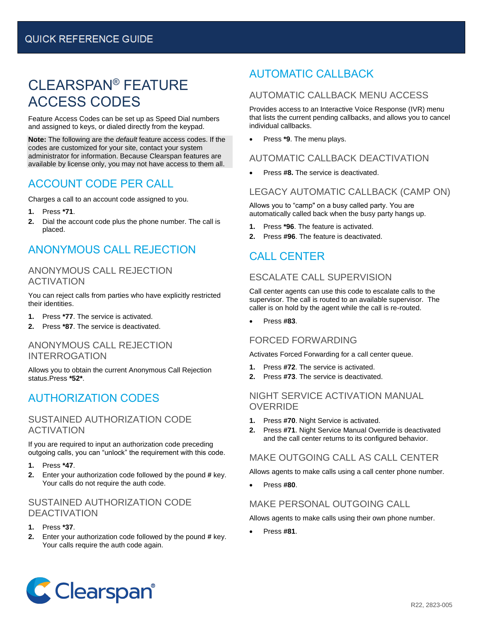# CLEARSPAN® FEATURE ACCESS CODES

Feature Access Codes can be set up as Speed Dial numbers and assigned to keys, or dialed directly from the keypad.

**Note:** The following are the *default* feature access codes. If the codes are customized for your site, contact your system administrator for information. Because Clearspan features are available by license only, you may not have access to them all.

### ACCOUNT CODE PER CALL

Charges a call to an account code assigned to you.

- **1.** Press **\*71**.
- **2.** Dial the account code plus the phone number. The call is placed.

# ANONYMOUS CALL REJECTION

#### ANONYMOUS CALL REJECTION **ACTIVATION**

You can reject calls from parties who have explicitly restricted their identities.

- **1.** Press **\*77**. The service is activated.
- **2.** Press **\*87**. The service is deactivated.

#### ANONYMOUS CALL REJECTION INTERROGATION

Allows you to obtain the current Anonymous Call Rejection status.Press **\*52\***.

# AUTHORIZATION CODES

#### SUSTAINED AUTHORIZATION CODE ACTIVATION

If you are required to input an authorization code preceding outgoing calls, you can "unlock" the requirement with this code.

- **1.** Press **\*47**.
- **2.** Enter your authorization code followed by the pound **#** key. Your calls do not require the auth code.

#### SUSTAINED AUTHORIZATION CODE DEACTIVATION

- **1.** Press **\*37**.
- **2.** Enter your authorization code followed by the pound **#** key. Your calls require the auth code again.

# AUTOMATIC CALLBACK

#### AUTOMATIC CALLBACK MENU ACCESS

Provides access to an Interactive Voice Response (IVR) menu that lists the current pending callbacks, and allows you to cancel individual callbacks.

• Press **\*9**. The menu plays.

#### AUTOMATIC CALLBACK DEACTIVATION

• Press **#8.** The service is deactivated.

#### LEGACY AUTOMATIC CALLBACK (CAMP ON)

Allows you to "camp" on a busy called party. You are automatically called back when the busy party hangs up.

- **1.** Press **\*96**. The feature is activated.
- **2.** Press **#96**. The feature is deactivated.

# CALL CENTER

#### ESCALATE CALL SUPERVISION

Call center agents can use this code to escalate calls to the supervisor. The call is routed to an available supervisor. The caller is on hold by the agent while the call is re-routed.

• Press **#83**.

#### FORCED FORWARDING

Activates Forced Forwarding for a call center queue.

- **1.** Press **#72**. The service is activated.
- **2.** Press **#73**. The service is deactivated.

#### NIGHT SERVICE ACTIVATION MANUAL **OVERRIDE**

- **1.** Press **#70**. Night Service is activated.
- **2.** Press **#71**. Night Service Manual Override is deactivated and the call center returns to its configured behavior.

#### MAKE OUTGOING CALL AS CALL CENTER

Allows agents to make calls using a call center phone number.

• Press **#80**.

#### MAKE PERSONAL OUTGOING CALL

Allows agents to make calls using their own phone number.

• Press **#81**.

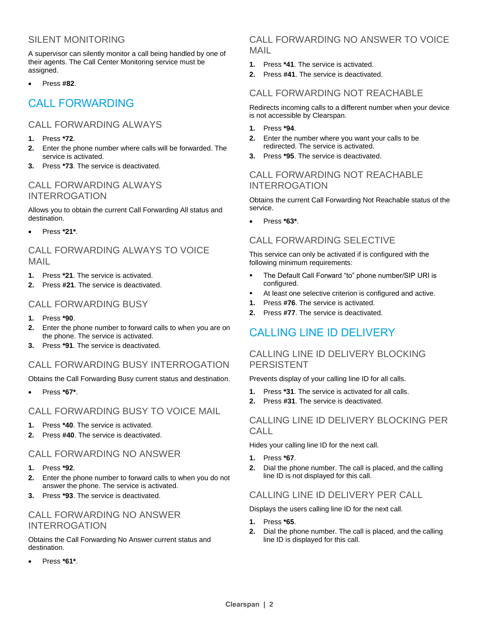#### SILENT MONITORING

A supervisor can silently monitor a call being handled by one of their agents. The Call Center Monitoring service must be assigned.

• Press **#82**.

### CALL FORWARDING

#### CALL FORWARDING ALWAYS

- **1.** Press **\*72**.
- **2.** Enter the phone number where calls will be forwarded. The service is activated.
- **3.** Press **\*73**. The service is deactivated.

#### CALL FORWARDING ALWAYS INTERROGATION

Allows you to obtain the current Call Forwarding All status and destination.

• Press **\*21\***.

#### CALL FORWARDING ALWAYS TO VOICE MAIL

- **1.** Press **\*21**. The service is activated.
- **2.** Press **#21**. The service is deactivated.

#### CALL FORWARDING BUSY

- **1.** Press **\*90**.
- **2.** Enter the phone number to forward calls to when you are on the phone. The service is activated.
- **3.** Press **\*91**. The service is deactivated.

#### CALL FORWARDING BUSY INTERROGATION

Obtains the Call Forwarding Busy current status and destination.

• Press **\*67\***.

#### CALL FORWARDING BUSY TO VOICE MAIL

- **1.** Press **\*40**. The service is activated.
- **2.** Press **#40**. The service is deactivated.

#### CALL FORWARDING NO ANSWER

- **1.** Press **\*92**.
- **2.** Enter the phone number to forward calls to when you do not answer the phone. The service is activated.
- **3.** Press **\*93**. The service is deactivated.

#### CALL FORWARDING NO ANSWER INTERROGATION

Obtains the Call Forwarding No Answer current status and destination.

• Press **\*61\***.

#### CALL FORWARDING NO ANSWER TO VOICE MAIL

- **1.** Press **\*41**. The service is activated.
- **2.** Press **#41**. The service is deactivated.

#### CALL FORWARDING NOT REACHABLE

Redirects incoming calls to a different number when your device is not accessible by Clearspan.

- **1.** Press **\*94**.
- **2.** Enter the number where you want your calls to be redirected. The service is activated.
- **3.** Press **\*95**. The service is deactivated.

#### CALL FORWARDING NOT REACHABLE INTERROGATION

Obtains the current Call Forwarding Not Reachable status of the service.

• Press **\*63\***.

#### CALL FORWARDING SELECTIVE

This service can only be activated if is configured with the following minimum requirements:

- The Default Call Forward "to" phone number/SIP URI is configured.
- At least one selective criterion is configured and active.
- **1.** Press **#76**. The service is activated.
- **2.** Press **#77**. The service is deactivated.

### CALLING LINE ID DELIVERY

#### CALLING LINE ID DELIVERY BLOCKING PERSISTENT

Prevents display of your calling line ID for all calls.

- **1.** Press **\*31**. The service is activated for all calls.
- **2.** Press **#31**. The service is deactivated.

#### CALLING LINE ID DELIVERY BLOCKING PER CALL<sub>L</sub>

Hides your calling line ID for the next call.

- **1.** Press **\*67**.
- **2.** Dial the phone number. The call is placed, and the calling line ID is not displayed for this call.

#### CALLING LINE ID DELIVERY PER CALL

Displays the users calling line ID for the next call.

- **1.** Press **\*65**.
- **2.** Dial the phone number. The call is placed, and the calling line ID is displayed for this call.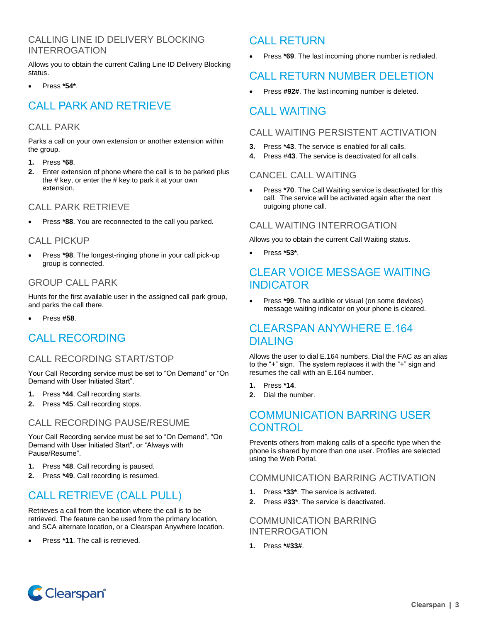#### CALLING LINE ID DELIVERY BLOCKING INTERROGATION

Allows you to obtain the current Calling Line ID Delivery Blocking status.

• Press **\*54\***.

# CALL PARK AND RETRIEVE

#### CALL PARK

Parks a call on your own extension or another extension within the group.

- **1.** Press **\*68**.
- **2.** Enter extension of phone where the call is to be parked plus the  $#$  key, or enter the  $#$  key to park it at your own extension.

#### CALL PARK RETRIEVE

• Press **\*88**. You are reconnected to the call you parked.

#### CALL PICKUP

• Press **\*98**. The longest-ringing phone in your call pick-up group is connected.

#### GROUP CALL PARK

Hunts for the first available user in the assigned call park group, and parks the call there.

• Press **#58**.

### CALL RECORDING

#### CALL RECORDING START/STOP

Your Call Recording service must be set to "On Demand" or "On Demand with User Initiated Start".

- **1.** Press **\*44**. Call recording starts.
- **2.** Press **\*45**. Call recording stops.

#### CALL RECORDING PAUSE/RESUME

Your Call Recording service must be set to "On Demand", "On Demand with User Initiated Start", or "Always with Pause/Resume".

- **1.** Press **\*48**. Call recording is paused.
- **2.** Press **\*49**. Call recording is resumed.

# CALL RETRIEVE (CALL PULL)

Retrieves a call from the location where the call is to be retrieved. The feature can be used from the primary location, and SCA alternate location, or a Clearspan Anywhere location.

• Press **\*11**. The call is retrieved.

# CALL RETURN

Press \*69. The last incoming phone number is redialed.

# CALL RETURN NUMBER DELETION

Press **#92#**. The last incoming number is deleted.

### CALL WAITING

#### CALL WAITING PERSISTENT ACTIVATION

- **3.** Press **\*43**. The service is enabled for all calls.
- **4.** Press #**43**. The service is deactivated for all calls.

#### CANCEL CALL WAITING

Press **\*70**. The Call Waiting service is deactivated for this call. The service will be activated again after the next outgoing phone call.

#### CALL WAITING INTERROGATION

Allows you to obtain the current Call Waiting status.

• Press **\*53\***.

### CLEAR VOICE MESSAGE WAITING **INDICATOR**

• Press **\*99**. The audible or visual (on some devices) message waiting indicator on your phone is cleared.

### CLEARSPAN ANYWHERE E.164 DIALING

Allows the user to dial E.164 numbers. Dial the FAC as an alias to the "+" sign. The system replaces it with the "+" sign and resumes the call with an E.164 number.

- **1.** Press **\*14**.
- **2.** Dial the number.

### COMMUNICATION BARRING USER **CONTROL**

Prevents others from making calls of a specific type when the phone is shared by more than one user. Profiles are selected using the Web Portal.

#### COMMUNICATION BARRING ACTIVATION

- **1.** Press **\*33\***. The service is activated.
- **2.** Press **#33**\*. The service is deactivated.

#### COMMUNICATION BARRING INTERROGATION

**1.** Press **\*#33#**.

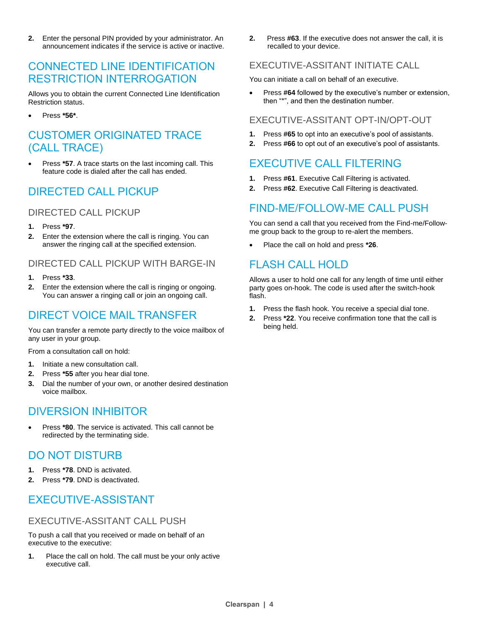**2.** Enter the personal PIN provided by your administrator. An announcement indicates if the service is active or inactive.

### CONNECTED LINE IDENTIFICATION RESTRICTION INTERROGATION

Allows you to obtain the current Connected Line Identification Restriction status.

• Press **\*56\***.

### CUSTOMER ORIGINATED TRACE (CALL TRACE)

• Press **\*57**. A trace starts on the last incoming call. This feature code is dialed after the call has ended.

# DIRECTED CALL PICKUP

#### DIRECTED CALL PICKUP

- **1.** Press **\*97**.
- **2.** Enter the extension where the call is ringing. You can answer the ringing call at the specified extension.

#### DIRECTED CALL PICKUP WITH BARGE-IN

- **1.** Press **\*33**.
- **2.** Enter the extension where the call is ringing or ongoing. You can answer a ringing call or join an ongoing call.

# DIRECT VOICE MAIL TRANSFER

You can transfer a remote party directly to the voice mailbox of any user in your group.

From a consultation call on hold:

- **1.** Initiate a new consultation call.
- **2.** Press **\*55** after you hear dial tone.
- **3.** Dial the number of your own, or another desired destination voice mailbox.

### DIVERSION INHIBITOR

• Press **\*80**. The service is activated. This call cannot be redirected by the terminating side.

### DO NOT DISTURB

- **1.** Press **\*78**. DND is activated.
- **2.** Press **\*79**. DND is deactivated.

# EXECUTIVE-ASSISTANT

#### EXECUTIVE-ASSITANT CALL PUSH

To push a call that you received or made on behalf of an executive to the executive:

**1.** Place the call on hold. The call must be your only active executive call.

**2.** Press **#63**. If the executive does not answer the call, it is recalled to your device.

#### EXECUTIVE-ASSITANT INITIATE CALL

You can initiate a call on behalf of an executive.

• Press **#64** followed by the executive's number or extension, then "\*", and then the destination number.

#### EXECUTIVE-ASSITANT OPT-IN/OPT-OUT

- **1.** Press **#65** to opt into an executive's pool of assistants.
- **2.** Press **#66** to opt out of an executive's pool of assistants.

# EXECUTIVE CALL FILTERING

- **1.** Press **#61**. Executive Call Filtering is activated.
- **2.** Press **#62**. Executive Call Filtering is deactivated.

# FIND-ME/FOLLOW-ME CALL PUSH

You can send a call that you received from the Find-me/Followme group back to the group to re-alert the members.

• Place the call on hold and press **\*26**.

# FLASH CALL HOLD

Allows a user to hold one call for any length of time until either party goes on-hook. The code is used after the switch-hook flash.

- **1.** Press the flash hook. You receive a special dial tone.
- **2.** Press **\*22**. You receive confirmation tone that the call is being held.